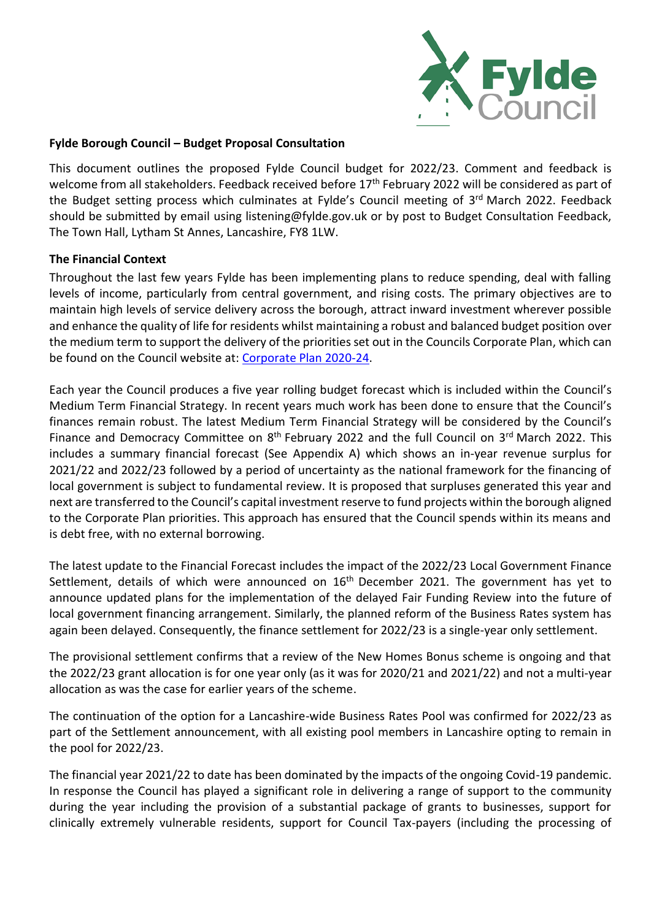

#### **Fylde Borough Council – Budget Proposal Consultation**

This document outlines the proposed Fylde Council budget for 2022/23. Comment and feedback is welcome from all stakeholders. Feedback received before 17<sup>th</sup> February 2022 will be considered as part of the Budget setting process which culminates at Fylde's Council meeting of 3<sup>rd</sup> March 2022. Feedback should be submitted by email using [listening@fylde.gov.uk](mailto:listening@fylde.gov.uk) or by post to Budget Consultation Feedback, The Town Hall, Lytham St Annes, Lancashire, FY8 1LW.

#### **The Financial Context**

Throughout the last few years Fylde has been implementing plans to reduce spending, deal with falling levels of income, particularly from central government, and rising costs. The primary objectives are to maintain high levels of service delivery across the borough, attract inward investment wherever possible and enhance the quality of life for residents whilst maintaining a robust and balanced budget position over the medium term to support the delivery of the priorities set out in the Councils Corporate Plan, which can be found on the Council website at: [Corporate Plan 2020-24.](https://fylde.cmis.uk.com/fylde/Document.ashx?czJKcaeAi5tUFL1DTL2UE4zNRBcoShgo=0qVd4raFpOy%2bMfNVbMJtHmgaEsARha103VFbaeAcfW22whQLmC3kaQ%3d%3d&rUzwRPf%2bZ3zd4E7Ikn8Lyw%3d%3d=pwRE6AGJFLDNlh225F5QMaQWCtPHwdhUfCZ%2fLUQzgA2uL5jNRG4jdQ%3d%3d&mCTIbCubSFfXsDGW9IXnlg%3d%3d=hFflUdN3100%3d&kCx1AnS9%2fpWZQ40DXFvdEw%3d%3d=hFflUdN3100%3d&uJovDxwdjMPoYv%2bAJvYtyA%3d%3d=ctNJFf55vVA%3d&FgPlIEJYlotS%2bYGoBi5olA%3d%3d=NHdURQburHA%3d&d9Qjj0ag1Pd993jsyOJqFvmyB7X0CSQK=ctNJFf55vVA%3d&WGewmoAfeNR9xqBux0r1Q8Za60lavYmz=ctNJFf55vVA%3d&WGewmoAfeNQ16B2MHuCpMRKZMwaG1PaO=ctNJFf55vVA%3d)

Each year the Council produces a five year rolling budget forecast which is included within the Council's Medium Term Financial Strategy. In recent years much work has been done to ensure that the Council's finances remain robust. The latest Medium Term Financial Strategy will be considered by the Council's Finance and Democracy Committee on 8<sup>th</sup> February 2022 and the full Council on 3<sup>rd</sup> March 2022. This includes a summary financial forecast (See Appendix A) which shows an in-year revenue surplus for 2021/22 and 2022/23 followed by a period of uncertainty as the national framework for the financing of local government is subject to fundamental review. It is proposed that surpluses generated this year and next are transferred to the Council's capital investment reserve to fund projects within the borough aligned to the Corporate Plan priorities. This approach has ensured that the Council spends within its means and is debt free, with no external borrowing.

The latest update to the Financial Forecast includes the impact of the 2022/23 Local Government Finance Settlement, details of which were announced on 16<sup>th</sup> December 2021. The government has yet to announce updated plans for the implementation of the delayed Fair Funding Review into the future of local government financing arrangement. Similarly, the planned reform of the Business Rates system has again been delayed. Consequently, the finance settlement for 2022/23 is a single-year only settlement.

The provisional settlement confirms that a review of the New Homes Bonus scheme is ongoing and that the 2022/23 grant allocation is for one year only (as it was for 2020/21 and 2021/22) and not a multi-year allocation as was the case for earlier years of the scheme.

The continuation of the option for a Lancashire-wide Business Rates Pool was confirmed for 2022/23 as part of the Settlement announcement, with all existing pool members in Lancashire opting to remain in the pool for 2022/23.

The financial year 2021/22 to date has been dominated by the impacts of the ongoing Covid-19 pandemic. In response the Council has played a significant role in delivering a range of support to the community during the year including the provision of a substantial package of grants to businesses, support for clinically extremely vulnerable residents, support for Council Tax-payers (including the processing of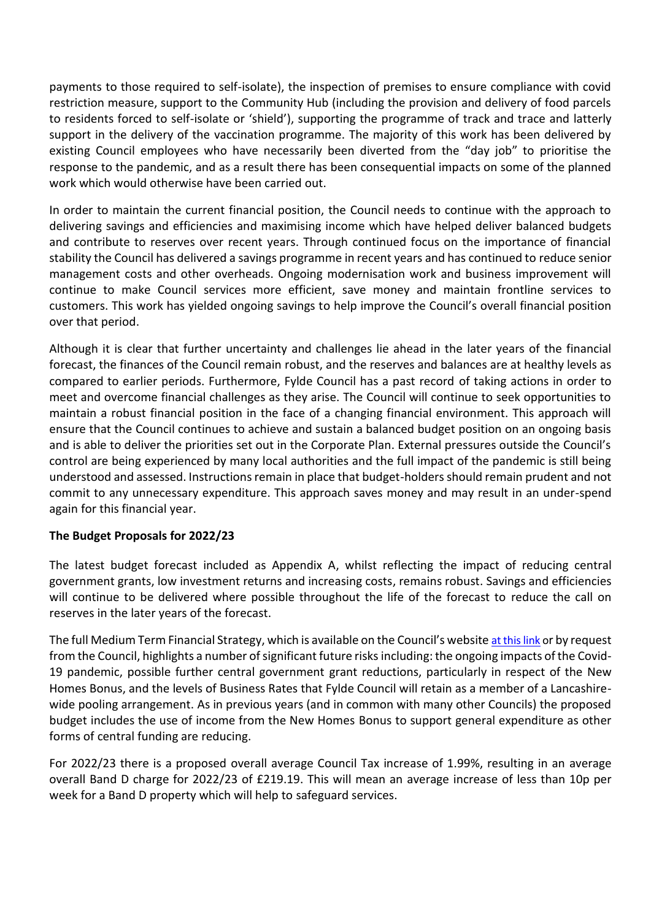payments to those required to self-isolate), the inspection of premises to ensure compliance with covid restriction measure, support to the Community Hub (including the provision and delivery of food parcels to residents forced to self-isolate or 'shield'), supporting the programme of track and trace and latterly support in the delivery of the vaccination programme. The majority of this work has been delivered by existing Council employees who have necessarily been diverted from the "day job" to prioritise the response to the pandemic, and as a result there has been consequential impacts on some of the planned work which would otherwise have been carried out.

In order to maintain the current financial position, the Council needs to continue with the approach to delivering savings and efficiencies and maximising income which have helped deliver balanced budgets and contribute to reserves over recent years. Through continued focus on the importance of financial stability the Council has delivered a savings programme in recent years and has continued to reduce senior management costs and other overheads. Ongoing modernisation work and business improvement will continue to make Council services more efficient, save money and maintain frontline services to customers. This work has yielded ongoing savings to help improve the Council's overall financial position over that period.

Although it is clear that further uncertainty and challenges lie ahead in the later years of the financial forecast, the finances of the Council remain robust, and the reserves and balances are at healthy levels as compared to earlier periods. Furthermore, Fylde Council has a past record of taking actions in order to meet and overcome financial challenges as they arise. The Council will continue to seek opportunities to maintain a robust financial position in the face of a changing financial environment. This approach will ensure that the Council continues to achieve and sustain a balanced budget position on an ongoing basis and is able to deliver the priorities set out in the Corporate Plan. External pressures outside the Council's control are being experienced by many local authorities and the full impact of the pandemic is still being understood and assessed. Instructions remain in place that budget-holders should remain prudent and not commit to any unnecessary expenditure. This approach saves money and may result in an under-spend again for this financial year.

# **The Budget Proposals for 2022/23**

The latest budget forecast included as Appendix A, whilst reflecting the impact of reducing central government grants, low investment returns and increasing costs, remains robust. Savings and efficiencies will continue to be delivered where possible throughout the life of the forecast to reduce the call on reserves in the later years of the forecast.

The full Medium Term Financial Strategy, which is available on the Council's website [at this link](https://fylde.cmis.uk.com/fylde/MeetingsCalendar/tabid/70/ctl/ViewMeetingPublic/mid/397/Meeting/1250/Committee/22/SelectedTab/Documents/Default.aspx) or by request from the Council, highlights a number of significant future risks including: the ongoing impacts of the Covid-19 pandemic, possible further central government grant reductions, particularly in respect of the New Homes Bonus, and the levels of Business Rates that Fylde Council will retain as a member of a Lancashirewide pooling arrangement. As in previous years (and in common with many other Councils) the proposed budget includes the use of income from the New Homes Bonus to support general expenditure as other forms of central funding are reducing.

For 2022/23 there is a proposed overall average Council Tax increase of 1.99%, resulting in an average overall Band D charge for 2022/23 of £219.19. This will mean an average increase of less than 10p per week for a Band D property which will help to safeguard services.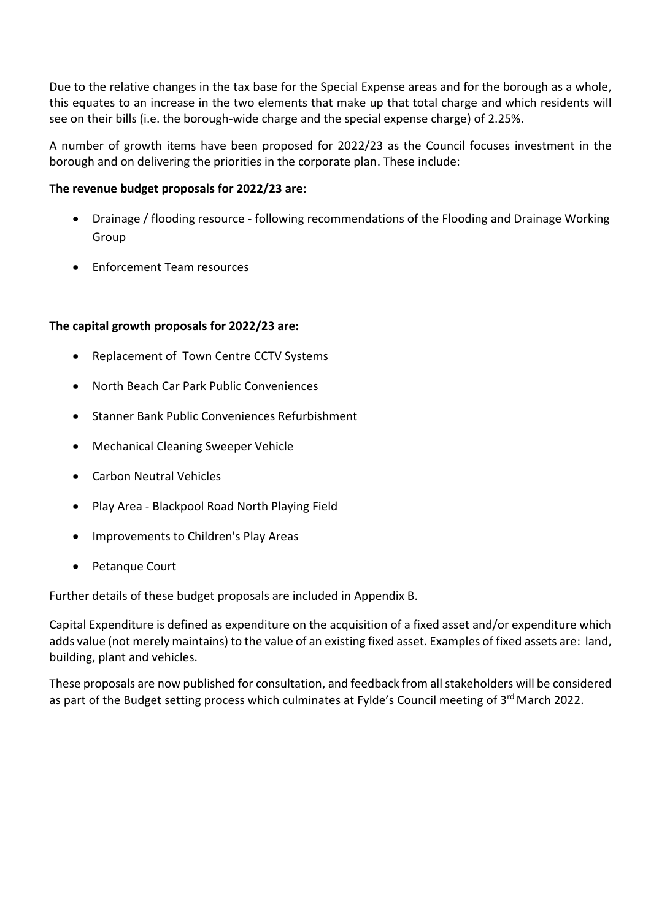Due to the relative changes in the tax base for the Special Expense areas and for the borough as a whole, this equates to an increase in the two elements that make up that total charge and which residents will see on their bills (i.e. the borough-wide charge and the special expense charge) of 2.25%.

A number of growth items have been proposed for 2022/23 as the Council focuses investment in the borough and on delivering the priorities in the corporate plan. These include:

# **The revenue budget proposals for 2022/23 are:**

- Drainage / flooding resource following recommendations of the Flooding and Drainage Working Group
- Enforcement Team resources

# **The capital growth proposals for 2022/23 are:**

- Replacement of Town Centre CCTV Systems
- North Beach Car Park Public Conveniences
- Stanner Bank Public Conveniences Refurbishment
- Mechanical Cleaning Sweeper Vehicle
- Carbon Neutral Vehicles
- Play Area Blackpool Road North Playing Field
- Improvements to Children's Play Areas
- Petanque Court

Further details of these budget proposals are included in Appendix B.

Capital Expenditure is defined as expenditure on the acquisition of a fixed asset and/or expenditure which adds value (not merely maintains) to the value of an existing fixed asset. Examples of fixed assets are: land, building, plant and vehicles.

These proposals are now published for consultation, and feedback from all stakeholders will be considered as part of the Budget setting process which culminates at Fylde's Council meeting of 3<sup>rd</sup> March 2022.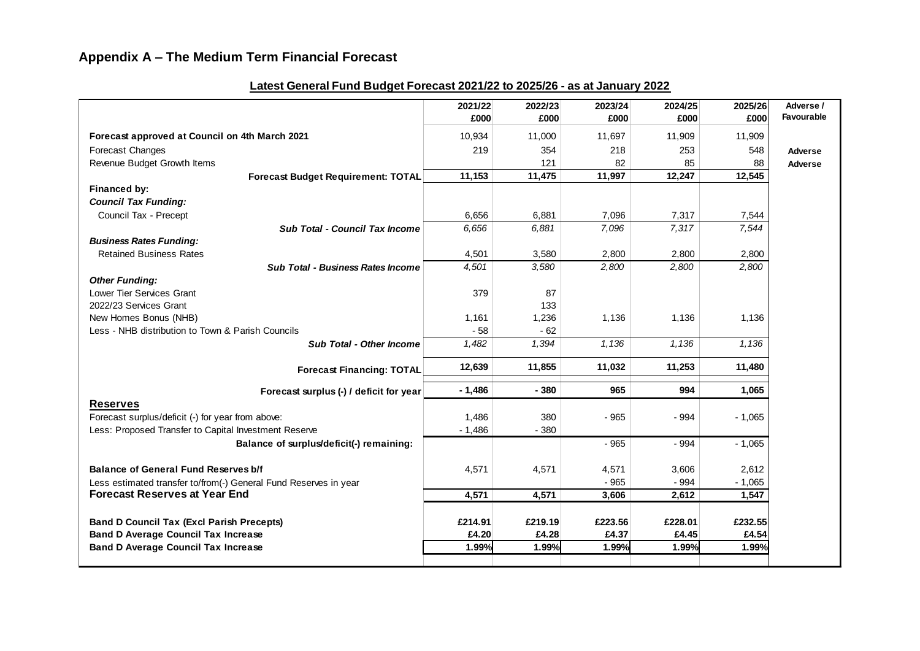|                                                                                          | 2021/22          | 2022/23          | 2023/24          | 2024/25          | 2025/26          | Adverse /  |
|------------------------------------------------------------------------------------------|------------------|------------------|------------------|------------------|------------------|------------|
|                                                                                          | £000             | £000             | £000             | £000             | £000             | Favourable |
| Forecast approved at Council on 4th March 2021                                           | 10,934           | 11,000           | 11,697           | 11,909           | 11,909           |            |
| Forecast Changes                                                                         | 219              | 354              | 218              | 253              | 548              | Adverse    |
| Revenue Budget Growth Items                                                              |                  | 121              | 82               | 85               | 88               | Adverse    |
| <b>Forecast Budget Requirement: TOTAL</b>                                                | 11,153           | 11,475           | 11,997           | 12,247           | 12,545           |            |
| Financed by:                                                                             |                  |                  |                  |                  |                  |            |
| <b>Council Tax Funding:</b>                                                              |                  |                  |                  |                  |                  |            |
| Council Tax - Precept                                                                    | 6,656            | 6,881            | 7,096            | 7,317            | 7,544            |            |
| Sub Total - Council Tax Income                                                           | 6,656            | 6,881            | 7,096            | 7,317            | 7,544            |            |
| <b>Business Rates Funding:</b>                                                           |                  |                  |                  |                  |                  |            |
| <b>Retained Business Rates</b>                                                           | 4,501            | 3,580            | 2,800            | 2,800            | 2,800            |            |
| <b>Sub Total - Business Rates Income</b>                                                 | 4,501            | 3,580            | 2,800            | 2,800            | 2,800            |            |
| <b>Other Funding:</b>                                                                    |                  |                  |                  |                  |                  |            |
| Lower Tier Services Grant                                                                | 379              | 87               |                  |                  |                  |            |
| 2022/23 Services Grant                                                                   |                  | 133              |                  |                  |                  |            |
| New Homes Bonus (NHB)                                                                    | 1,161            | 1,236            | 1,136            | 1,136            | 1,136            |            |
| Less - NHB distribution to Town & Parish Councils                                        | $-58$            | $-62$            |                  |                  |                  |            |
| <b>Sub Total - Other Income</b>                                                          | 1,482            | 1,394            | 1,136            | 1,136            | 1,136            |            |
| <b>Forecast Financing: TOTAL</b>                                                         | 12,639           | 11,855           | 11,032           | 11,253           | 11,480           |            |
| Forecast surplus (-) / deficit for year                                                  | $-1,486$         | $-380$           | 965              | 994              | 1,065            |            |
| <b>Reserves</b>                                                                          |                  |                  |                  |                  |                  |            |
| Forecast surplus/deficit (-) for year from above:                                        | 1,486            | 380              | $-965$           | $-994$           | $-1,065$         |            |
| Less: Proposed Transfer to Capital Investment Reserve                                    | $-1,486$         | $-380$           |                  |                  |                  |            |
| Balance of surplus/deficit(-) remaining:                                                 |                  |                  | $-965$           | - 994            | $-1,065$         |            |
|                                                                                          |                  |                  |                  |                  |                  |            |
| <b>Balance of General Fund Reserves b/f</b>                                              | 4,571            | 4,571            | 4,571            | 3,606            | 2,612            |            |
| Less estimated transfer to/from(-) General Fund Reserves in year                         |                  |                  | $-965$           | $-994$           | $-1,065$         |            |
| <b>Forecast Reserves at Year End</b>                                                     | 4,571            | 4,571            | 3,606            | 2,612            | 1,547            |            |
|                                                                                          |                  |                  |                  |                  |                  |            |
| <b>Band D Council Tax (Excl Parish Precepts)</b>                                         | £214.91<br>£4.20 | £219.19<br>£4.28 | £223.56<br>£4.37 | £228.01<br>£4.45 | £232.55<br>£4.54 |            |
| <b>Band D Average Council Tax Increase</b><br><b>Band D Average Council Tax Increase</b> | 1.99%            | 1.99%            | 1.99%            | 1.99%            | 1.99%            |            |
|                                                                                          |                  |                  |                  |                  |                  |            |

# **Latest General Fund Budget Forecast 2021/22 to 2025/26 - as at January 2022**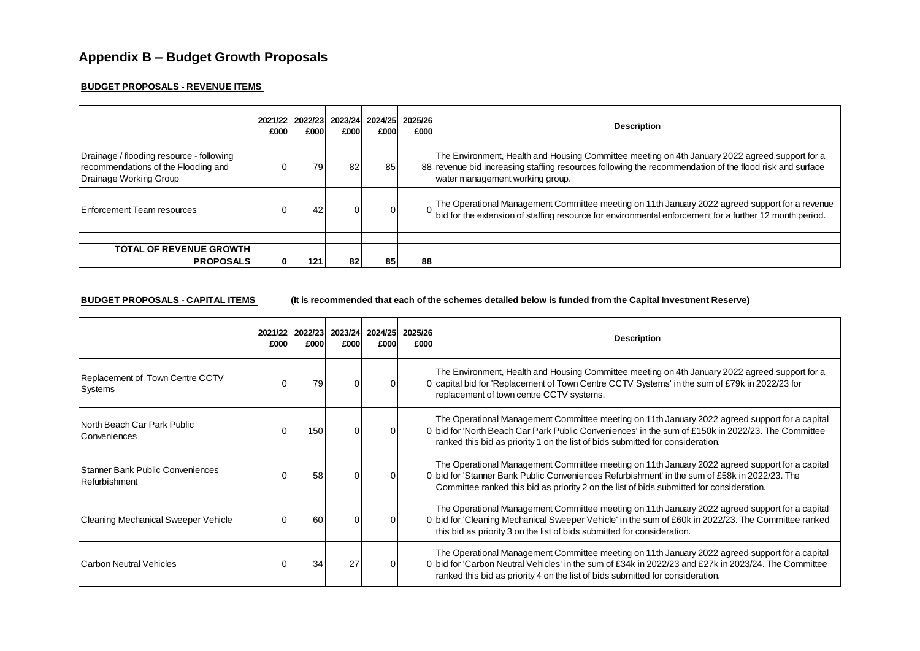#### **BUDGET PROPOSALS - REVENUE ITEMS**

|                                                                                                           | 2021/22<br>£000l | 2022/23<br>£000 | 2023/24<br>£000l | £000     | 2024/25 2025/26<br>£000 | <b>Description</b>                                                                                                                                                                                                                           |
|-----------------------------------------------------------------------------------------------------------|------------------|-----------------|------------------|----------|-------------------------|----------------------------------------------------------------------------------------------------------------------------------------------------------------------------------------------------------------------------------------------|
| Drainage / flooding resource - following<br>recommendations of the Flooding and<br>Drainage Working Group |                  | 79              |                  | 85       |                         | The Environment, Health and Housing Committee meeting on 4th January 2022 agreed support for a<br>88 revenue bid increasing staffing resources following the recommendation of the flood risk and surface<br>water management working group. |
| Enforcement Team resources                                                                                |                  |                 |                  | $\Omega$ |                         | The Operational Management Committee meeting on 11th January 2022 agreed support for a revenue<br> bid for the extension of staffing resource for environmental enforcement for a further 12 month period.                                   |
|                                                                                                           |                  |                 |                  |          |                         |                                                                                                                                                                                                                                              |
| <b>TOTAL OF REVENUE GROWTH</b><br><b>PROPOSALS</b>                                                        | 01               | 121             | 82               | 85       | 88                      |                                                                                                                                                                                                                                              |

**BUDGET PROPOSALS - CAPITAL ITEMS** (It is recommended that each of the schemes detailed below is funded from the Capital Investment Reserve)

|                                                   | 2021/22<br>£000 | 2022/23<br>£000 | 2023/24<br>£000 | £000 | 2024/25 2025/26<br>£000 | <b>Description</b>                                                                                                                                                                                                                                                                          |
|---------------------------------------------------|-----------------|-----------------|-----------------|------|-------------------------|---------------------------------------------------------------------------------------------------------------------------------------------------------------------------------------------------------------------------------------------------------------------------------------------|
| Replacement of Town Centre CCTV<br>Systems        |                 | 79              |                 |      |                         | The Environment, Health and Housing Committee meeting on 4th January 2022 agreed support for a<br>0 capital bid for 'Replacement of Town Centre CCTV Systems' in the sum of £79k in 2022/23 for<br>replacement of town centre CCTV systems.                                                 |
| North Beach Car Park Public<br>Conveniences       |                 | 150             |                 |      |                         | The Operational Management Committee meeting on 11th January 2022 agreed support for a capital<br>0 bid for 'North Beach Car Park Public Conveniences' in the sum of £150k in 2022/23. The Committee<br>ranked this bid as priority 1 on the list of bids submitted for consideration.      |
| Stanner Bank Public Conveniences<br>Refurbishment |                 | 58              |                 |      |                         | The Operational Management Committee meeting on 11th January 2022 agreed support for a capital<br>0 bid for 'Stanner Bank Public Conveniences Refurbishment' in the sum of £58k in 2022/23. The<br>Committee ranked this bid as priority 2 on the list of bids submitted for consideration. |
| <b>Cleaning Mechanical Sweeper Vehicle</b>        |                 | 60              |                 |      |                         | The Operational Management Committee meeting on 11th January 2022 agreed support for a capital<br>0 bid for 'Cleaning Mechanical Sweeper Vehicle' in the sum of £60k in 2022/23. The Committee ranked<br>this bid as priority 3 on the list of bids submitted for consideration.            |
| <b>Carbon Neutral Vehicles</b>                    |                 | 34              |                 |      |                         | The Operational Management Committee meeting on 11th January 2022 agreed support for a capital<br>0 bid for 'Carbon Neutral Vehicles' in the sum of £34k in 2022/23 and £27k in 2023/24. The Committee<br>ranked this bid as priority 4 on the list of bids submitted for consideration.    |